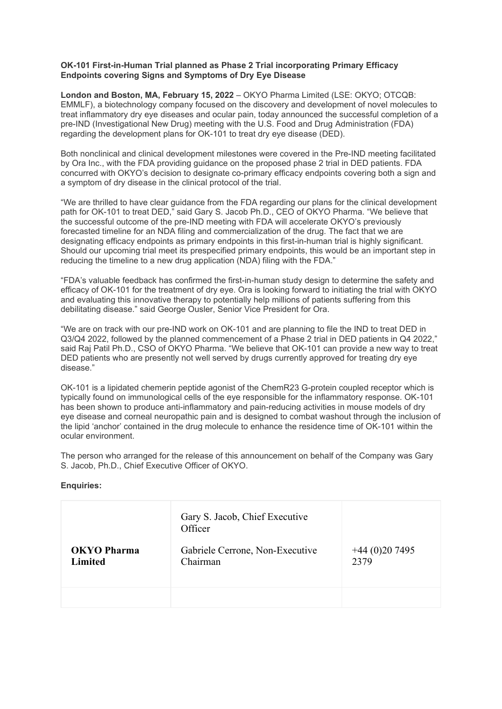### **OK-101 First-in-Human Trial planned as Phase 2 Trial incorporating Primary Efficacy Endpoints covering Signs and Symptoms of Dry Eye Disease**

**London and Boston, MA, February 15, 2022** – OKYO Pharma Limited (LSE: OKYO; OTCQB: EMMLF), a biotechnology company focused on the discovery and development of novel molecules to treat inflammatory dry eye diseases and ocular pain, today announced the successful completion of a pre-IND (Investigational New Drug) meeting with the U.S. Food and Drug Administration (FDA) regarding the development plans for OK-101 to treat dry eye disease (DED).

Both nonclinical and clinical development milestones were covered in the Pre-IND meeting facilitated by Ora Inc., with the FDA providing guidance on the proposed phase 2 trial in DED patients. FDA concurred with OKYO's decision to designate co-primary efficacy endpoints covering both a sign and a symptom of dry disease in the clinical protocol of the trial.

"We are thrilled to have clear guidance from the FDA regarding our plans for the clinical development path for OK-101 to treat DED," said Gary S. Jacob Ph.D., CEO of OKYO Pharma. "We believe that the successful outcome of the pre-IND meeting with FDA will accelerate OKYO's previously forecasted timeline for an NDA filing and commercialization of the drug. The fact that we are designating efficacy endpoints as primary endpoints in this first-in-human trial is highly significant. Should our upcoming trial meet its prespecified primary endpoints, this would be an important step in reducing the timeline to a new drug application (NDA) filing with the FDA."

"FDA's valuable feedback has confirmed the first-in-human study design to determine the safety and efficacy of OK-101 for the treatment of dry eye. Ora is looking forward to initiating the trial with OKYO and evaluating this innovative therapy to potentially help millions of patients suffering from this debilitating disease." said George Ousler, Senior Vice President for Ora.

"We are on track with our pre-IND work on OK-101 and are planning to file the IND to treat DED in Q3/Q4 2022, followed by the planned commencement of a Phase 2 trial in DED patients in Q4 2022," said Raj Patil Ph.D., CSO of OKYO Pharma. "We believe that OK-101 can provide a new way to treat DED patients who are presently not well served by drugs currently approved for treating dry eye disease."

OK-101 is a lipidated chemerin peptide agonist of the ChemR23 G-protein coupled receptor which is typically found on immunological cells of the eye responsible for the inflammatory response. OK-101 has been shown to produce anti-inflammatory and pain-reducing activities in mouse models of dry eye disease and corneal neuropathic pain and is designed to combat washout through the inclusion of the lipid 'anchor' contained in the drug molecule to enhance the residence time of OK-101 within the ocular environment.

The person who arranged for the release of this announcement on behalf of the Company was Gary S. Jacob, Ph.D., Chief Executive Officer of OKYO.

## **Enquiries:**

| <b>OKYO Pharma</b><br><b>Limited</b> | Gary S. Jacob, Chief Executive<br>Officer<br>Gabriele Cerrone, Non-Executive<br>Chairman | $+44(0)207495$<br>2379 |
|--------------------------------------|------------------------------------------------------------------------------------------|------------------------|
|                                      |                                                                                          |                        |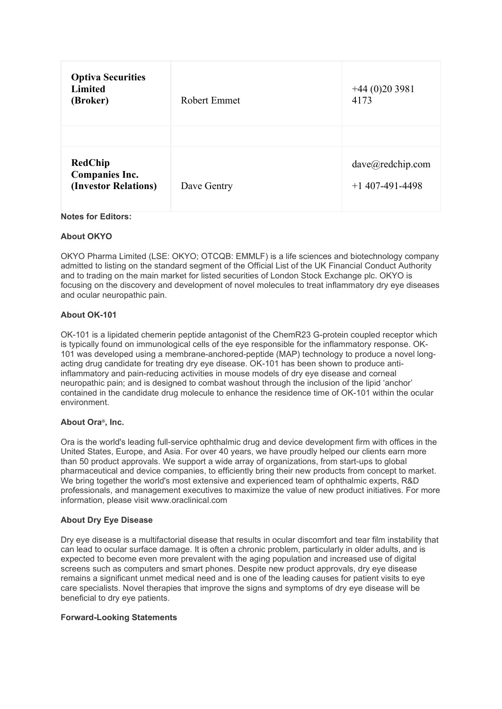| <b>Optiva Securities</b><br><b>Limited</b><br>(Broker)          | Robert Emmet | $+44(0)203981$<br>4173                |
|-----------------------------------------------------------------|--------------|---------------------------------------|
|                                                                 |              |                                       |
| <b>RedChip</b><br><b>Companies Inc.</b><br>(Investor Relations) | Dave Gentry  | dave@redchip.com<br>$+1$ 407-491-4498 |

# **Notes for Editors:**

### **About OKYO**

OKYO Pharma Limited (LSE: OKYO; OTCQB: EMMLF) is a life sciences and biotechnology company admitted to listing on the standard segment of the Official List of the UK Financial Conduct Authority and to trading on the main market for listed securities of London Stock Exchange plc. OKYO is focusing on the discovery and development of novel molecules to treat inflammatory dry eye diseases and ocular neuropathic pain.

### **About OK-101**

OK-101 is a lipidated chemerin peptide antagonist of the ChemR23 G-protein coupled receptor which is typically found on immunological cells of the eye responsible for the inflammatory response. OK-101 was developed using a membrane-anchored-peptide (MAP) technology to produce a novel longacting drug candidate for treating dry eye disease. OK-101 has been shown to produce antiinflammatory and pain-reducing activities in mouse models of dry eye disease and corneal neuropathic pain; and is designed to combat washout through the inclusion of the lipid 'anchor' contained in the candidate drug molecule to enhance the residence time of OK-101 within the ocular environment.

#### **About Ora®, Inc.**

Ora is the world's leading full-service ophthalmic drug and device development firm with offices in the United States, Europe, and Asia. For over 40 years, we have proudly helped our clients earn more than 50 product approvals. We support a wide array of organizations, from start-ups to global pharmaceutical and device companies, to efficiently bring their new products from concept to market. We bring together the world's most extensive and experienced team of ophthalmic experts, R&D professionals, and management executives to maximize the value of new product initiatives. For more information, please visit www.oraclinical.com

## **About Dry Eye Disease**

Dry eye disease is a multifactorial disease that results in ocular discomfort and tear film instability that can lead to ocular surface damage. It is often a chronic problem, particularly in older adults, and is expected to become even more prevalent with the aging population and increased use of digital screens such as computers and smart phones. Despite new product approvals, dry eye disease remains a significant unmet medical need and is one of the leading causes for patient visits to eye care specialists. Novel therapies that improve the signs and symptoms of dry eye disease will be beneficial to dry eye patients.

#### **Forward-Looking Statements**